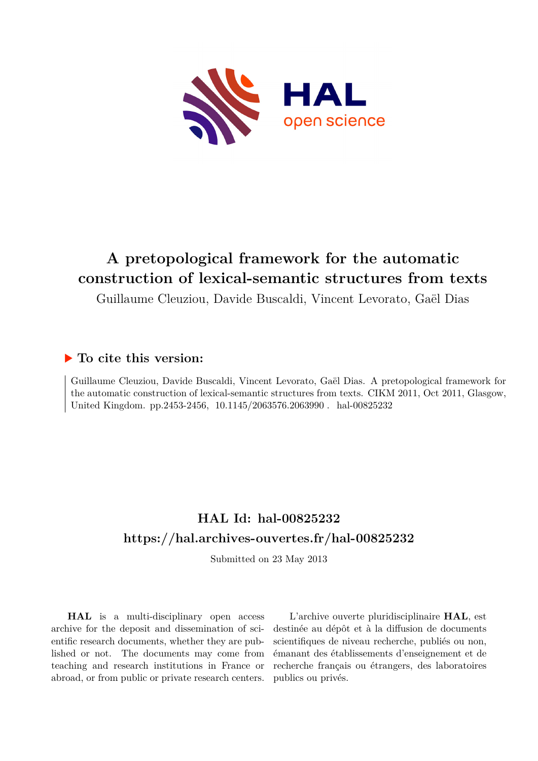

# **A pretopological framework for the automatic construction of lexical-semantic structures from texts**

Guillaume Cleuziou, Davide Buscaldi, Vincent Levorato, Gaël Dias

### **To cite this version:**

Guillaume Cleuziou, Davide Buscaldi, Vincent Levorato, Gaël Dias. A pretopological framework for the automatic construction of lexical-semantic structures from texts. CIKM 2011, Oct 2011, Glasgow, United Kingdom. pp.2453-2456, 10.1145/2063576.2063990. hal-00825232

## **HAL Id: hal-00825232 <https://hal.archives-ouvertes.fr/hal-00825232>**

Submitted on 23 May 2013

**HAL** is a multi-disciplinary open access archive for the deposit and dissemination of scientific research documents, whether they are published or not. The documents may come from teaching and research institutions in France or abroad, or from public or private research centers.

L'archive ouverte pluridisciplinaire **HAL**, est destinée au dépôt et à la diffusion de documents scientifiques de niveau recherche, publiés ou non, émanant des établissements d'enseignement et de recherche français ou étrangers, des laboratoires publics ou privés.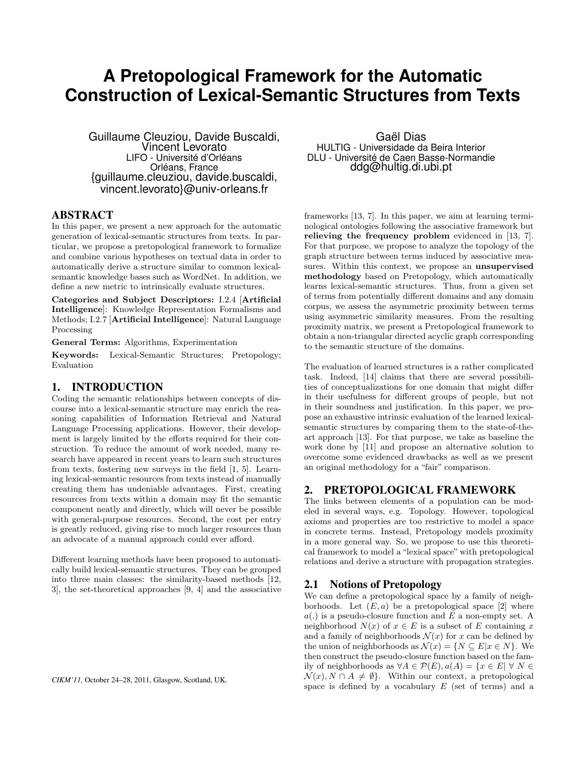## **A Pretopological Framework for the Automatic Construction of Lexical-Semantic Structures from Texts**

Guillaume Cleuziou, Davide Buscaldi, Vincent Levorato LIFO - Université d'Orléans Orléans, France {guillaume.cleuziou, davide.buscaldi, vincent.levorato}@univ-orleans.fr

#### ABSTRACT

In this paper, we present a new approach for the automatic generation of lexical-semantic structures from texts. In particular, we propose a pretopological framework to formalize and combine various hypotheses on textual data in order to automatically derive a structure similar to common lexicalsemantic knowledge bases such as WordNet. In addition, we define a new metric to intrinsically evaluate structures.

Categories and Subject Descriptors: I.2.4 [Artificial Intelligence]: Knowledge Representation Formalisms and Methods; I.2.7 [Artificial Intelligence]: Natural Language Processing

General Terms: Algorithms, Experimentation

Keywords: Lexical-Semantic Structures; Pretopology; Evaluation

#### 1. INTRODUCTION

Coding the semantic relationships between concepts of discourse into a lexical-semantic structure may enrich the reasoning capabilities of Information Retrieval and Natural Language Processing applications. However, their development is largely limited by the efforts required for their construction. To reduce the amount of work needed, many research have appeared in recent years to learn such structures from texts, fostering new surveys in the field [1, 5]. Learning lexical-semantic resources from texts instead of manually creating them has undeniable advantages. First, creating resources from texts within a domain may fit the semantic component neatly and directly, which will never be possible with general-purpose resources. Second, the cost per entry is greatly reduced, giving rise to much larger resources than an advocate of a manual approach could ever afford.

Different learning methods have been proposed to automatically build lexical-semantic structures. They can be grouped into three main classes: the similarity-based methods [12, 3], the set-theoretical approaches [9, 4] and the associative

*CIKM'11,* October 24–28, 2011, Glasgow, Scotland, UK.

Gaël Dias HULTIG - Universidade da Beira Interior DLU - Université de Caen Basse-Normandie ddg@hultig.di.ubi.pt

frameworks [13, 7]. In this paper, we aim at learning terminological ontologies following the associative framework but relieving the frequency problem evidenced in [13, 7]. For that purpose, we propose to analyze the topology of the graph structure between terms induced by associative measures. Within this context, we propose an unsupervised methodology based on Pretopology, which automatically learns lexical-semantic structures. Thus, from a given set of terms from potentially different domains and any domain corpus, we assess the asymmetric proximity between terms using asymmetric similarity measures. From the resulting proximity matrix, we present a Pretopological framework to obtain a non-triangular directed acyclic graph corresponding to the semantic structure of the domains.

The evaluation of learned structures is a rather complicated task. Indeed, [14] claims that there are several possibilities of conceptualizations for one domain that might differ in their usefulness for different groups of people, but not in their soundness and justification. In this paper, we propose an exhaustive intrinsic evaluation of the learned lexicalsemantic structures by comparing them to the state-of-theart approach [13]. For that purpose, we take as baseline the work done by [11] and propose an alternative solution to overcome some evidenced drawbacks as well as we present an original methodology for a "fair" comparison.

#### 2. PRETOPOLOGICAL FRAMEWORK

The links between elements of a population can be modeled in several ways, e.g. Topology. However, topological axioms and properties are too restrictive to model a space in concrete terms. Instead, Pretopology models proximity in a more general way. So, we propose to use this theoretical framework to model a "lexical space" with pretopological relations and derive a structure with propagation strategies.

#### 2.1 Notions of Pretopology

We can define a pretopological space by a family of neighborhoods. Let  $(E, a)$  be a pretopological space [2] where  $a(.)$  is a pseudo-closure function and E a non-empty set. A neighborhood  $N(x)$  of  $x \in E$  is a subset of E containing x and a family of neighborhoods  $\mathcal{N}(x)$  for x can be defined by the union of neighborhoods as  $\mathcal{N}(x) = \{N \subseteq E | x \in N\}$ . We then construct the pseudo-closure function based on the family of neighborhoods as  $\forall A \in \mathcal{P}(E), a(A) = \{x \in E | \forall N \in \mathcal{P}(E)\}$  $\mathcal{N}(x), N \cap A \neq \emptyset$ . Within our context, a pretopological space is defined by a vocabulary  $E$  (set of terms) and a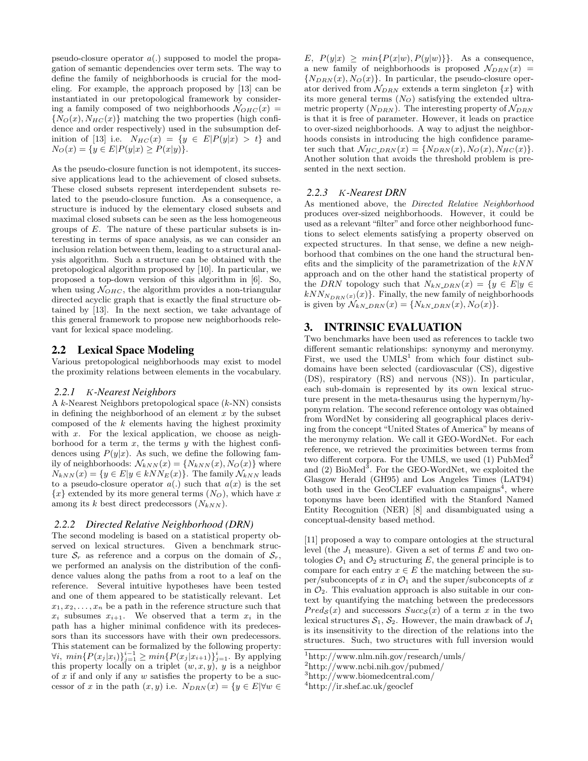pseudo-closure operator  $a(.)$  supposed to model the propagation of semantic dependencies over term sets. The way to define the family of neighborhoods is crucial for the modeling. For example, the approach proposed by [13] can be instantiated in our pretopological framework by considering a family composed of two neighborhoods  $N_{OHC}(x)$  =  ${N_O(x), N_{HC}(x)}$  matching the two properties (high confidence and order respectively) used in the subsumption definition of [13] i.e.  $N_{HC}(x) = \{y \in E | P(y|x) > t\}$  and  $N_O(x) = \{y \in E | P(y|x) \geq P(x|y)\}.$ 

As the pseudo-closure function is not idempotent, its successive applications lead to the achievement of closed subsets. These closed subsets represent interdependent subsets related to the pseudo-closure function. As a consequence, a structure is induced by the elementary closed subsets and maximal closed subsets can be seen as the less homogeneous groups of E. The nature of these particular subsets is interesting in terms of space analysis, as we can consider an inclusion relation between them, leading to a structural analysis algorithm. Such a structure can be obtained with the pretopological algorithm proposed by [10]. In particular, we proposed a top-down version of this algorithm in [6]. So, when using  $\mathcal{N}_{OHC}$ , the algorithm provides a non-triangular directed acyclic graph that is exactly the final structure obtained by [13]. In the next section, we take advantage of this general framework to propose new neighborhoods relevant for lexical space modeling.

#### 2.2 Lexical Space Modeling

Various pretopological neighborhoods may exist to model the proximity relations between elements in the vocabulary.

#### *2.2.1* K*-Nearest Neighbors*

A k-Nearest Neighbors pretopological space (k-NN) consists in defining the neighborhood of an element  $x$  by the subset composed of the  $k$  elements having the highest proximity with  $x$ . For the lexical application, we choose as neighborhood for a term  $x$ , the terms  $y$  with the highest confidences using  $P(y|x)$ . As such, we define the following family of neighborhoods:  $\mathcal{N}_{kNN}(x) = \{N_{kNN}(x), N_O(x)\}\$  where  $N_{kNN}(x) = \{y \in E | y \in kNN_E(x)\}.$  The family  $\mathcal{N}_{kNN}$  leads to a pseudo-closure operator  $a(.)$  such that  $a(x)$  is the set  ${x}$  extended by its more general terms  $(N<sub>O</sub>)$ , which have x among its k best direct predecessors  $(N_{kNN})$ .

#### *2.2.2 Directed Relative Neighborhood (DRN)*

The second modeling is based on a statistical property observed on lexical structures. Given a benchmark structure  $S_r$  as reference and a corpus on the domain of  $S_r$ , we performed an analysis on the distribution of the confidence values along the paths from a root to a leaf on the reference. Several intuitive hypotheses have been tested and one of them appeared to be statistically relevant. Let  $x_1, x_2, \ldots, x_n$  be a path in the reference structure such that  $x_i$  subsumes  $x_{i+1}$ . We observed that a term  $x_i$  in the path has a higher minimal confidence with its predecessors than its successors have with their own predecessors. This statement can be formalized by the following property:  $\forall i, \ min\{P(x_j|x_i)\}_{j=1}^{i-1}$  ≥  $min\{P(x_j|x_{i+1})\}_{j=1}^{i}$ . By applying this property locally on a triplet  $(w, x, y)$ , y is a neighbor of  $x$  if and only if any  $w$  satisfies the property to be a successor of x in the path  $(x, y)$  i.e.  $N_{DRN}(x) = \{y \in E | \forall w \in$ 

E,  $P(y|x) \geq min\{P(x|w), P(y|w)\}\}.$  As a consequence, a new family of neighborhoods is proposed  $\mathcal{N}_{DRN}(x)$  =  ${N_{DRN}(x), N_Q(x)}$ . In particular, the pseudo-closure operator derived from  $\mathcal{N}_{DRN}$  extends a term singleton  $\{x\}$  with its more general terms  $(N<sub>O</sub>)$  satisfying the extended ultrametric property  $(N_{DRN})$ . The interesting property of  $N_{DRN}$ is that it is free of parameter. However, it leads on practice to over-sized neighborhoods. A way to adjust the neighborhoods consists in introducing the high confidence parameter such that  $\mathcal{N}_{HC\_DRN}(x) = \{N_{DRN}(x), N_O(x), N_{HC}(x)\}.$ Another solution that avoids the threshold problem is presented in the next section.

#### *2.2.3* K*-Nearest DRN*

As mentioned above, the Directed Relative Neighborhood produces over-sized neighborhoods. However, it could be used as a relevant "filter" and force other neighborhood functions to select elements satisfying a property observed on expected structures. In that sense, we define a new neighborhood that combines on the one hand the structural benefits and the simplicity of the parametrization of the  $kNN$ approach and on the other hand the statistical property of the DRN topology such that  $N_{kN\_DRN}(x) = \{y \in E | y \in$  $kNN_{N_{DRN}(x)}(x)$ . Finally, the new family of neighborhoods is given by  $\mathcal{N}_{kN\_{DRN}}(x) = \{N_{kN\_{DRN}}(x), N_O(x)\}.$ 

#### 3. INTRINSIC EVALUATION

Two benchmarks have been used as references to tackle two different semantic relationships: synonymy and meronymy. First, we used the  $UMLS<sup>1</sup>$  from which four distinct subdomains have been selected (cardiovascular (CS), digestive (DS), respiratory (RS) and nervous (NS)). In particular, each sub-domain is represented by its own lexical structure present in the meta-thesaurus using the hypernym/hyponym relation. The second reference ontology was obtained from WordNet by considering all geographical places deriving from the concept "United States of America" by means of the meronymy relation. We call it GEO-WordNet. For each reference, we retrieved the proximities between terms from two different corpora. For the UMLS, we used (1) PubMed<sup>2</sup> and (2) BioMed<sup>3</sup>. For the GEO-WordNet, we exploited the Glasgow Herald (GH95) and Los Angeles Times (LAT94) both used in the GeoCLEF evaluation campaigns<sup>4</sup>, where toponyms have been identified with the Stanford Named Entity Recognition (NER) [8] and disambiguated using a conceptual-density based method.

[11] proposed a way to compare ontologies at the structural level (the  $J_1$  measure). Given a set of terms  $E$  and two ontologies  $\mathcal{O}_1$  and  $\mathcal{O}_2$  structuring E, the general principle is to compare for each entry  $x \in E$  the matching between the super/subconcepts of x in  $\mathcal{O}_1$  and the super/subconcepts of x in  $\mathcal{O}_2$ . This evaluation approach is also suitable in our context by quantifying the matching between the predecessors  $Pred_{\mathcal{S}}(x)$  and successors  $Succ_{\mathcal{S}}(x)$  of a term x in the two lexical structures  $S_1$ ,  $S_2$ . However, the main drawback of  $J_1$ is its insensitivity to the direction of the relations into the structures. Such, two structures with full inversion would

<sup>1</sup>http://www.nlm.nih.gov/research/umls/

<sup>2</sup>http://www.ncbi.nih.gov/pubmed/

<sup>3</sup>http://www.biomedcentral.com/

<sup>4</sup>http://ir.shef.ac.uk/geoclef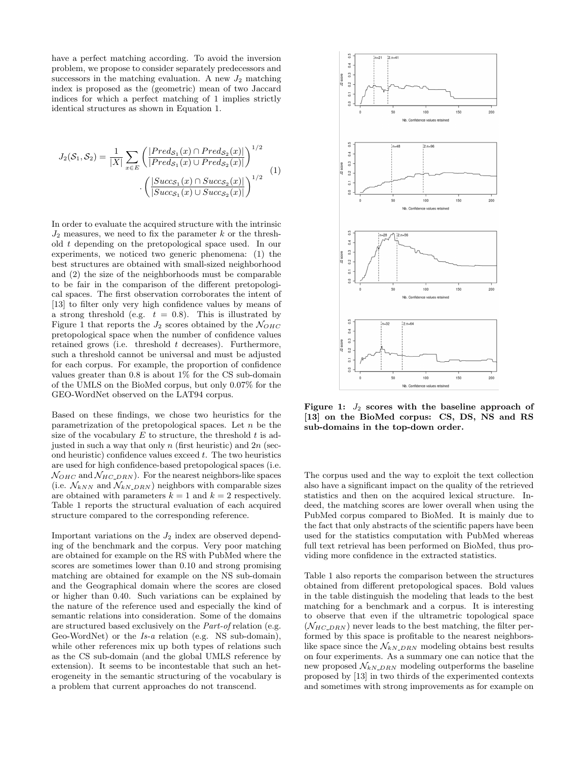have a perfect matching according. To avoid the inversion problem, we propose to consider separately predecessors and successors in the matching evaluation. A new  $J_2$  matching index is proposed as the (geometric) mean of two Jaccard indices for which a perfect matching of 1 implies strictly identical structures as shown in Equation 1.

$$
J_2(S_1, S_2) = \frac{1}{|X|} \sum_{x \in E} \left( \frac{|Pred_{S_1}(x) \cap Pred_{S_2}(x)|}{|Pred_{S_1}(x) \cup Pred_{S_2}(x)|} \right)^{1/2}
$$

$$
\cdot \left( \frac{|Succ_{S_1}(x) \cap Succ_{S_2}(x)|}{|Succ_{S_1}(x) \cup Succ_{S_2}(x)|} \right)^{1/2}
$$
(1)

In order to evaluate the acquired structure with the intrinsic  $J_2$  measures, we need to fix the parameter k or the threshold t depending on the pretopological space used. In our experiments, we noticed two generic phenomena: (1) the best structures are obtained with small-sized neighborhood and (2) the size of the neighborhoods must be comparable to be fair in the comparison of the different pretopological spaces. The first observation corroborates the intent of [13] to filter only very high confidence values by means of a strong threshold (e.g.  $t = 0.8$ ). This is illustrated by Figure 1 that reports the  $J_2$  scores obtained by the  $\mathcal{N}_{OHC}$ pretopological space when the number of confidence values retained grows (i.e. threshold  $t$  decreases). Furthermore, such a threshold cannot be universal and must be adjusted for each corpus. For example, the proportion of confidence values greater than 0.8 is about 1% for the CS sub-domain of the UMLS on the BioMed corpus, but only 0.07% for the GEO-WordNet observed on the LAT94 corpus.

Based on these findings, we chose two heuristics for the parametrization of the pretopological spaces. Let  $n$  be the size of the vocabulary  $E$  to structure, the threshold  $t$  is adjusted in such a way that only n (first heuristic) and  $2n$  (second heuristic) confidence values exceed  $t$ . The two heuristics are used for high confidence-based pretopological spaces (i.e.  $\mathcal{N}_{OHC}$  and  $\mathcal{N}_{HC\_DRN}$ ). For the nearest neighbors-like spaces (i.e.  $\mathcal{N}_{kNN}$  and  $\mathcal{N}_{kN\_{DRN}}$ ) neighbors with comparable sizes are obtained with parameters  $k = 1$  and  $k = 2$  respectively. Table 1 reports the structural evaluation of each acquired structure compared to the corresponding reference.

Important variations on the  $J_2$  index are observed depending of the benchmark and the corpus. Very poor matching are obtained for example on the RS with PubMed where the scores are sometimes lower than 0.10 and strong promising matching are obtained for example on the NS sub-domain and the Geographical domain where the scores are closed or higher than 0.40. Such variations can be explained by the nature of the reference used and especially the kind of semantic relations into consideration. Some of the domains are structured based exclusively on the Part-of relation (e.g. Geo-WordNet) or the Is-a relation (e.g. NS sub-domain), while other references mix up both types of relations such as the CS sub-domain (and the global UMLS reference by extension). It seems to be incontestable that such an heterogeneity in the semantic structuring of the vocabulary is a problem that current approaches do not transcend.



Figure 1:  $J_2$  scores with the baseline approach of [13] on the BioMed corpus: CS, DS, NS and RS sub-domains in the top-down order.

The corpus used and the way to exploit the text collection also have a significant impact on the quality of the retrieved statistics and then on the acquired lexical structure. Indeed, the matching scores are lower overall when using the PubMed corpus compared to BioMed. It is mainly due to the fact that only abstracts of the scientific papers have been used for the statistics computation with PubMed whereas full text retrieval has been performed on BioMed, thus providing more confidence in the extracted statistics.

Table 1 also reports the comparison between the structures obtained from different pretopological spaces. Bold values in the table distinguish the modeling that leads to the best matching for a benchmark and a corpus. It is interesting to observe that even if the ultrametric topological space  $(\mathcal{N}_{HC\_DRN})$  never leads to the best matching, the filter performed by this space is profitable to the nearest neighborslike space since the  $\mathcal{N}_{kN\_{DRN}}$  modeling obtains best results on four experiments. As a summary one can notice that the new proposed  $\mathcal{N}_{kN\_DRN}$  modeling outperforms the baseline proposed by [13] in two thirds of the experimented contexts and sometimes with strong improvements as for example on